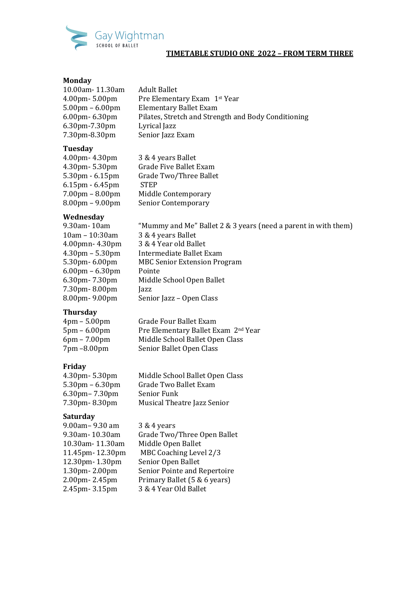

#### **Monday**

| 10.00am-11.30am                   | <b>Adult Ballet</b>                                 |
|-----------------------------------|-----------------------------------------------------|
| $4.00$ pm $-5.00$ pm              | Pre Elementary Exam 1st Year                        |
| $5.00 \text{pm} - 6.00 \text{pm}$ | <b>Elementary Ballet Exam</b>                       |
| $6.00$ pm $-6.30$ pm              | Pilates, Stretch and Strength and Body Conditioning |
| 6.30pm-7.30pm                     | Lyrical Jazz                                        |
| 7.30pm-8.30pm                     | Senior Jazz Exam                                    |
|                                   |                                                     |

#### **Tuesday**

| 4.00pm- 4.30pm                    | 3 & 4 years Ballet     |
|-----------------------------------|------------------------|
| 4.30pm- 5.30pm                    | Grade Five Ballet Exam |
| 5.30pm - 6.15pm                   | Grade Two/Three Ballet |
| $6.15$ pm - $6.45$ pm             | <b>STEP</b>            |
| $7.00pm - 8.00pm$                 | Middle Contemporary    |
| $8.00 \text{pm} - 9.00 \text{pm}$ | Senior Contemporary    |

# **Wednesday**

| 9.30am - 10am                     | "Mummy and Me" Ballet 2 & 3 years (need a parent in with them) |
|-----------------------------------|----------------------------------------------------------------|
| $10am - 10:30am$                  | 3 & 4 years Ballet                                             |
| $4.00$ pmn $- 4.30$ pm            | 3 & 4 Year old Ballet                                          |
| $4.30 \text{pm} - 5.30 \text{pm}$ | Intermediate Ballet Exam                                       |
| 5.30pm-6.00pm                     | <b>MBC Senior Extension Program</b>                            |
| $6.00 \text{pm} - 6.30 \text{pm}$ | Pointe                                                         |
| 6.30pm-7.30pm                     | Middle School Open Ballet                                      |
| 7.30pm-8.00pm                     | Jazz                                                           |
| 8.00pm-9.00pm                     | Senior Jazz - Open Class                                       |
|                                   |                                                                |

# **Thursday**

| $4 \text{pm} - 5.00 \text{pm}$ | Grade Four Ballet Exam              |
|--------------------------------|-------------------------------------|
| $5 \text{pm} - 6.00 \text{pm}$ | Pre Elementary Ballet Exam 2nd Year |
| $6pm - 7.00pm$                 | Middle School Ballet Open Class     |
| 7pm -8.00pm                    | Senior Ballet Open Class            |

# **Friday**

| 4.30pm- 5.30pm                    | Middle School Ballet Open Class |
|-----------------------------------|---------------------------------|
| $5.30 \text{pm} - 6.30 \text{pm}$ | Grade Two Ballet Exam           |
| $6.30$ pm – $7.30$ pm             | Senior Funk                     |
| 7.30pm-8.30pm                     | Musical Theatre Jazz Senior     |

## **Saturday**

| 9.00am-9.30 am  | 3 & 4 years                  |
|-----------------|------------------------------|
| 9.30am- 10.30am | Grade Two/Three Open Ballet  |
| 10.30am-11.30am | Middle Open Ballet           |
| 11.45pm-12.30pm | MBC Coaching Level 2/3       |
| 12.30pm-1.30pm  | Senior Open Ballet           |
| 1.30pm-2.00pm   | Senior Pointe and Repertoire |
| 2.00pm-2.45pm   | Primary Ballet (5 & 6 years) |
| 2.45pm-3.15pm   | 3 & 4 Year Old Ballet        |
|                 |                              |